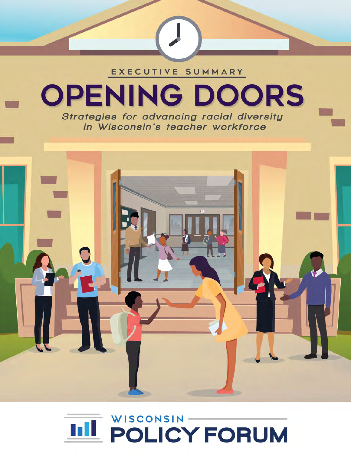



**OPENING DOORS** 

EXECUTIVE SUMMARY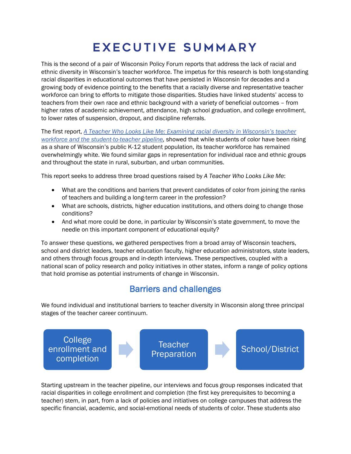# Executive Summary

This is the second of a pair of Wisconsin Policy Forum reports that address the lack of racial and ethnic diversity in Wisconsin's teacher workforce. The impetus for this research is both long-standing racial disparities in educational outcomes that have persisted in Wisconsin for decades and a growing body of evidence pointing to the benefits that a racially diverse and representative teacher workforce can bring to efforts to mitigate those disparities. Studies have linked students' access to teachers from their own race and ethnic background with a variety of beneficial outcomes – from higher rates of academic achievement, attendance, high school graduation, and college enrollment, to lower rates of suspension, dropout, and discipline referrals.

The first report, *[A Teacher Who Looks Like Me: Examining racial diversity in Wisconsin's teacher](https://wispolicyforum.org/research/a-teacher-who-looks-like-me-examining-racial-diversity-in-wisconsins-teacher-workforce-and-the-student-to-teacher-pipeline/)  [workforce and the student-to-teacher pipeline,](https://wispolicyforum.org/research/a-teacher-who-looks-like-me-examining-racial-diversity-in-wisconsins-teacher-workforce-and-the-student-to-teacher-pipeline/)* showed that while students of color have been rising as a share of Wisconsin's public K-12 student population, its teacher workforce has remained overwhelmingly white. We found similar gaps in representation for individual race and ethnic groups and throughout the state in rural, suburban, and urban communities.

This report seeks to address three broad questions raised by *A Teacher Who Looks Like Me*:

- What are the conditions and barriers that prevent candidates of color from joining the ranks of teachers and building a long-term career in the profession?
- What are schools, districts, higher education institutions, and others doing to change those conditions?
- And what more could be done, in particular by Wisconsin's state government, to move the needle on this important component of educational equity?

To answer these questions, we gathered perspectives from a broad array of Wisconsin teachers, school and district leaders, teacher education faculty, higher education administrators, state leaders, and others through focus groups and in-depth interviews. These perspectives, coupled with a national scan of policy research and policy initiatives in other states, inform a range of policy options that hold promise as potential instruments of change in Wisconsin.

# Barriers and challenges

We found individual and institutional barriers to teacher diversity in Wisconsin along three principal stages of the teacher career continuum.



Starting upstream in the teacher pipeline, our interviews and focus group responses indicated that racial disparities in college enrollment and completion (the first key prerequisites to becoming a teacher) stem, in part, from a lack of policies and initiatives on college campuses that address the specific financial, academic, and social-emotional needs of students of color. These students also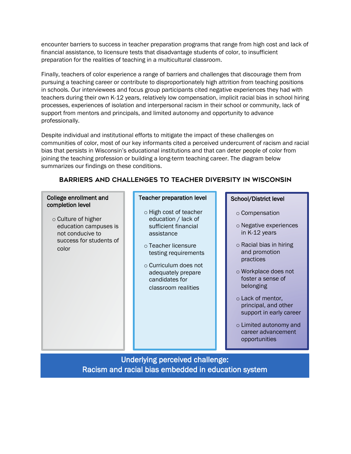encounter barriers to success in teacher preparation programs that range from high cost and lack of financial assistance, to licensure tests that disadvantage students of color, to insufficient preparation for the realities of teaching in a multicultural classroom.

Finally, teachers of color experience a range of barriers and challenges that discourage them from pursuing a teaching career or contribute to disproportionately high attrition from teaching positions in schools. Our interviewees and focus group participants cited negative experiences they had with teachers during their own K-12 years, relatively low compensation, implicit racial bias in school hiring processes, experiences of isolation and interpersonal racism in their school or community, lack of support from mentors and principals, and limited autonomy and opportunity to advance professionally.

Despite individual and institutional efforts to mitigate the impact of these challenges on communities of color, most of our key informants cited a perceived undercurrent of racism and racial bias that persists in Wisconsin's educational institutions and that can deter people of color from joining the teaching profession or building a long-term teaching career. The diagram below summarizes our findings on these conditions.

# Barriers and challenges to teacher diversity in Wisconsin

### College enrollment and completion level

o Culture of higher education campuses is not conducive to success for students of color

### Teacher preparation level

- o High cost of teacher education / lack of sufficient financial assistance
- o Teacher licensure testing requirements
- o Curriculum does not adequately prepare candidates for classroom realities

## School/District level

- o Compensation
- o Negative experiences in K-12 years
- o Racial bias in hiring and promotion practices
- o Workplace does not foster a sense of belonging
- o Lack of mentor, principal, and other support in early career
- o Limited autonomy and career advancement opportunities

Underlying perceived challenge: Racism and racial bias embedded in education system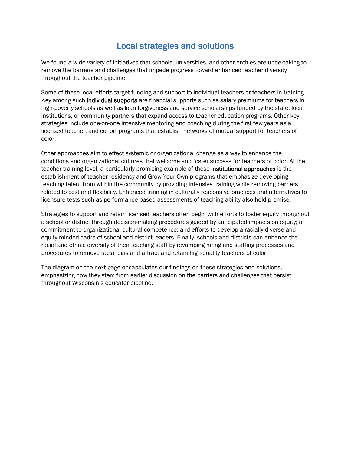# Local strategies and solutions

We found a wide variety of initiatives that schools, universities, and other entities are undertaking to remove the barriers and challenges that impede progress toward enhanced teacher diversity throughout the teacher pipeline.

Some of these local efforts target funding and support to individual teachers or teachers-in-training. Key among such individual supports are financial supports such as salary premiums for teachers in high-poverty schools as well as loan forgiveness and service scholarships funded by the state, local institutions, or community partners that expand access to teacher education programs. Other key strategies include one-on-one intensive mentoring and coaching during the first few years as a licensed teacher; and cohort programs that establish networks of mutual support for teachers of color.

Other approaches aim to effect systemic or organizational change as a way to enhance the conditions and organizational cultures that welcome and foster success for teachers of color. At the teacher training level, a particularly promising example of these institutional approaches is the establishment of teacher residency and Grow-Your-Own programs that emphasize developing teaching talent from within the community by providing intensive training while removing barriers related to cost and flexibility. Enhanced training in culturally responsive practices and alternatives to licensure tests such as performance-based assessments of teaching ability also hold promise.

Strategies to support and retain licensed teachers often begin with efforts to foster equity throughout a school or district through decision-making procedures guided by anticipated impacts on equity; a commitment to organizational cultural competence; and efforts to develop a racially diverse and equity-minded cadre of school and district leaders. Finally, schools and districts can enhance the racial and ethnic diversity of their teaching staff by revamping hiring and staffing processes and procedures to remove racial bias and attract and retain high-quality teachers of color.

The diagram on the next page encapsulates our findings on these strategies and solutions, emphasizing how they stem from earlier discussion on the barriers and challenges that persist throughout Wisconsin's educator pipeline.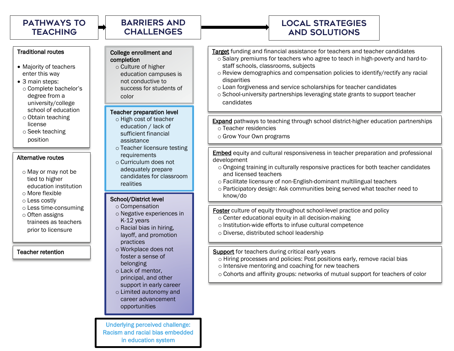# Barriers and **CHALLENGES**

# Local strategies and solutions

#### Traditional routes

- Majority of teachers enter this way
- 3 main steps: o Complete bachelor's degree from a university/college school of education
- o Obtain teaching license
- o Seek teaching position

#### Alternative routes

- o May or may not be tied to higher education institution
- o More flexible
- o Less costly
- o Less time-consuming
- o Often assigns trainees as teachers prior to licensure

Teacher retention

### College enrollment and completion

o Culture of higher education campuses is not conductive to success for students of color

### Teacher preparation level

- o High cost of teacher education / lack of sufficient financial assistance
- o Teacher licensure testing **requirements**
- o Curriculum does not adequately prepare candidates for classroom realities

### School/District level

- o Compensation o Negative experiences in
- K-12 years o Racial bias in hiring,
- layoff, and promotion practices
- o Workplace does not foster a sense of belonging
- o Lack of mentor, principal, and other support in early career
- o Limited autonomy and career advancement opportunities

Underlying perceived challenge: Racism and racial bias embedded in education system

- Target funding and financial assistance for teachers and teacher candidates
	- o Salary premiums for teachers who agree to teach in high-poverty and hard-tostaff schools, classrooms, subjects
	- o Review demographics and compensation policies to identify/rectify any racial disparities
	- o Loan forgiveness and service scholarships for teacher candidates
	- o School-university partnerships leveraging state grants to support teacher candidates
- **Expand** pathways to teaching through school district-higher education partnerships o Teacher residencies
	- o Grow Your Own programs

Embed equity and cultural responsiveness in teacher preparation and professional development

- o Ongoing training in culturally responsive practices for both teacher candidates and licensed teachers
- o Facilitate licensure of non-English-dominant multilingual teachers
- o Participatory design: Ask communities being served what teacher need to know/do

Foster culture of equity throughout school-level practice and policy

- o Center educational equity in all decision-making
- o Institution-wide efforts to infuse cultural competence
- o Diverse, distributed school leadership

Support for teachers during critical early years

- o Hiring processes and policies: Post positions early, remove racial bias
- o Intensive mentoring and coaching for new teachers
- o Cohorts and affinity groups: networks of mutual support for teachers of color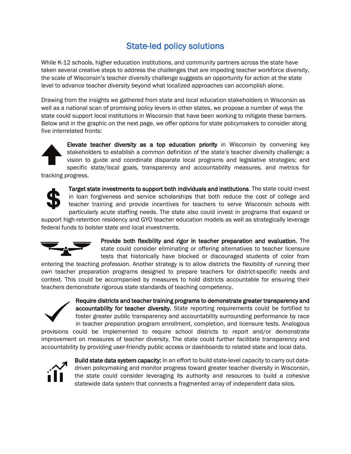# State-led policy solutions

While K-12 schools, higher education institutions, and community partners across the state have taken several creative steps to address the challenges that are impeding teacher workforce diversity, the scale of Wisconsin's teacher diversity challenge suggests an opportunity for action at the state level to advance teacher diversity beyond what localized approaches can accomplish alone.

Drawing from the insights we gathered from state and local education stakeholders in Wisconsin as well as a national scan of promising policy levers in other states, we propose a number of ways the state could support local institutions in Wisconsin that have been working to mitigate these barriers. Below and in the graphic on the next page, we offer options for state policymakers to consider along five interrelated fronts:



Elevate teacher diversity as a top education priority in Wisconsin by convening key stakeholders to establish a common definition of the state's teacher diversity challenge; a vision to guide and coordinate disparate local programs and legislative strategies; and specific state/local goals, transparency and accountability measures, and metrics for tracking progress.

Target state investments to support both individuals and institutions. The state could invest in loan forgiveness and service scholarships that both reduce the cost of college and teacher training and provide incentives for teachers to serve Wisconsin schools with particularly acute staffing needs. The state also could invest in programs that expand or

support high-retention residency and GYO teacher education models as well as strategically leverage federal funds to bolster state and local investments.



Provide both flexibility and rigor in teacher preparation and evaluation. The state could consider eliminating or offering alternatives to teacher licensure tests that historically have blocked or discouraged students of color from

entering the teaching profession. Another strategy is to allow districts the flexibility of running their own teacher preparation programs designed to prepare teachers for district-specific needs and context. This could be accompanied by measures to hold districts accountable for ensuring their teachers demonstrate rigorous state standards of teaching competency.



Require districts and teacher training programs to demonstrate greater transparency and accountability for teacher diversity. State reporting requirements could be fortified to foster greater public transparency and accountability surrounding performance by race in teacher preparation program enrollment, completion, and licensure tests. Analogous

provisions could be implemented to require school districts to report and/or demonstrate improvement on measures of teacher diversity. The state could further facilitate transparency and accountability by providing user-friendly public access or dashboards to related state and local data.



Build state data system capacity: In an effort to build state-level capacity to carry out datadriven policymaking and monitor progress toward greater teacher diversity in Wisconsin, the state could consider leveraging its authority and resources to build a cohesive statewide data system that connects a fragmented array of independent data silos.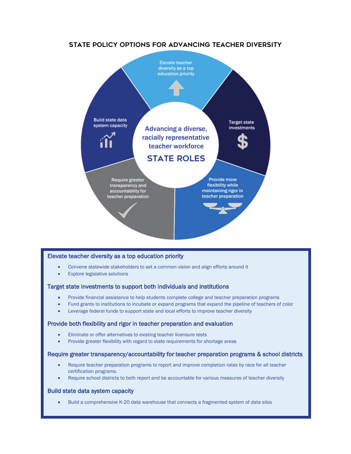

#### Elevate teacher diversity as a top education priority

- Convene statewide stakeholders to set a common vision and align efforts around it
- **Explore legislative solutions**

#### Target state investments to support both individuals and institutions

- Provide financial assistance to help students complete college and teacher preparation programs
- Fund grants to institutions to incubate or expand programs that expand the pipeline of teachers of color
- Leverage federal funds to support state and local efforts to improve teacher diversity

#### Provide both flexibility and rigor in teacher preparation and evaluation

- Eliminate or offer alternatives to existing teacher licensure tests
- Provide greater flexibility with regard to state requirements for shortage areas

#### Require greater transparency/accountability for teacher preparation programs & school districts

- Require teacher preparation programs to report and improve completion rates by race for all teacher certification programs.
- Require school districts to both report and be accountable for various measures of teacher diversity

#### Build state data system capacity

• Build a comprehensive K-20 data warehouse that connects a fragmented system of data silos